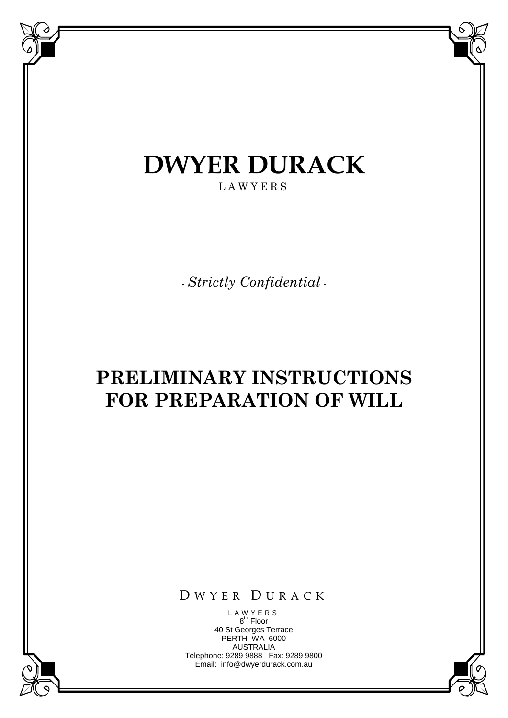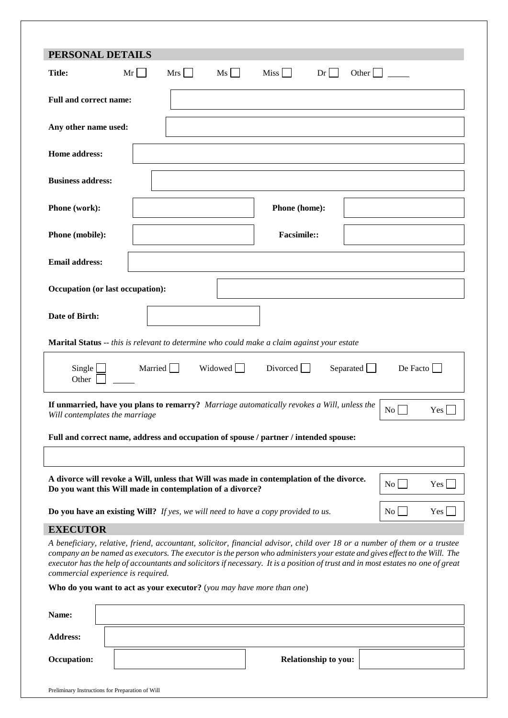| PERSONAL DETAILS                                                                                                                                                                                                                                                                                                                                                                                                                 |        |     |      |                    |    |       |  |
|----------------------------------------------------------------------------------------------------------------------------------------------------------------------------------------------------------------------------------------------------------------------------------------------------------------------------------------------------------------------------------------------------------------------------------|--------|-----|------|--------------------|----|-------|--|
| <b>Title:</b><br>Mr                                                                                                                                                                                                                                                                                                                                                                                                              | $\sim$ | Mrs | $Ms$ | $Miss$             | Dr | Other |  |
| <b>Full and correct name:</b>                                                                                                                                                                                                                                                                                                                                                                                                    |        |     |      |                    |    |       |  |
| Any other name used:                                                                                                                                                                                                                                                                                                                                                                                                             |        |     |      |                    |    |       |  |
| Home address:                                                                                                                                                                                                                                                                                                                                                                                                                    |        |     |      |                    |    |       |  |
| <b>Business address:</b>                                                                                                                                                                                                                                                                                                                                                                                                         |        |     |      |                    |    |       |  |
| Phone (work):                                                                                                                                                                                                                                                                                                                                                                                                                    |        |     |      | Phone (home):      |    |       |  |
| Phone (mobile):                                                                                                                                                                                                                                                                                                                                                                                                                  |        |     |      | <b>Facsimile::</b> |    |       |  |
| <b>Email address:</b>                                                                                                                                                                                                                                                                                                                                                                                                            |        |     |      |                    |    |       |  |
| Occupation (or last occupation):                                                                                                                                                                                                                                                                                                                                                                                                 |        |     |      |                    |    |       |  |
| Date of Birth:                                                                                                                                                                                                                                                                                                                                                                                                                   |        |     |      |                    |    |       |  |
| <b>Marital Status</b> -- this is relevant to determine who could make a claim against your estate                                                                                                                                                                                                                                                                                                                                |        |     |      |                    |    |       |  |
| Single<br>Married<br>Widowed  <br>Divorced  <br>Separated $\Box$<br>De Facto<br>Other                                                                                                                                                                                                                                                                                                                                            |        |     |      |                    |    |       |  |
| If unmarried, have you plans to remarry? Marriage automatically revokes a Will, unless the<br>$\overline{N_0}$<br>Yes<br>Will contemplates the marriage                                                                                                                                                                                                                                                                          |        |     |      |                    |    |       |  |
| Full and correct name, address and occupation of spouse / partner / intended spouse:                                                                                                                                                                                                                                                                                                                                             |        |     |      |                    |    |       |  |
|                                                                                                                                                                                                                                                                                                                                                                                                                                  |        |     |      |                    |    |       |  |
| A divorce will revoke a Will, unless that Will was made in contemplation of the divorce.<br>$\rm{No}$<br>Yes<br>Do you want this Will made in contemplation of a divorce?                                                                                                                                                                                                                                                        |        |     |      |                    |    |       |  |
| Do you have an existing Will? If yes, we will need to have a copy provided to us.<br>$\overline{N_0}$<br>Yes                                                                                                                                                                                                                                                                                                                     |        |     |      |                    |    |       |  |
| <b>EXECUTOR</b>                                                                                                                                                                                                                                                                                                                                                                                                                  |        |     |      |                    |    |       |  |
| A beneficiary, relative, friend, accountant, solicitor, financial advisor, child over 18 or a number of them or a trustee<br>company an be named as executors. The executor is the person who administers your estate and gives effect to the Will. The<br>executor has the help of accountants and solicitors if necessary. It is a position of trust and in most estates no one of great<br>commercial experience is required. |        |     |      |                    |    |       |  |

**Who do you want to act as your executor?** (*you may have more than one*)

| Name:              |                      |  |
|--------------------|----------------------|--|
| <b>Address:</b>    |                      |  |
| <b>Occupation:</b> | Relationship to you: |  |
|                    |                      |  |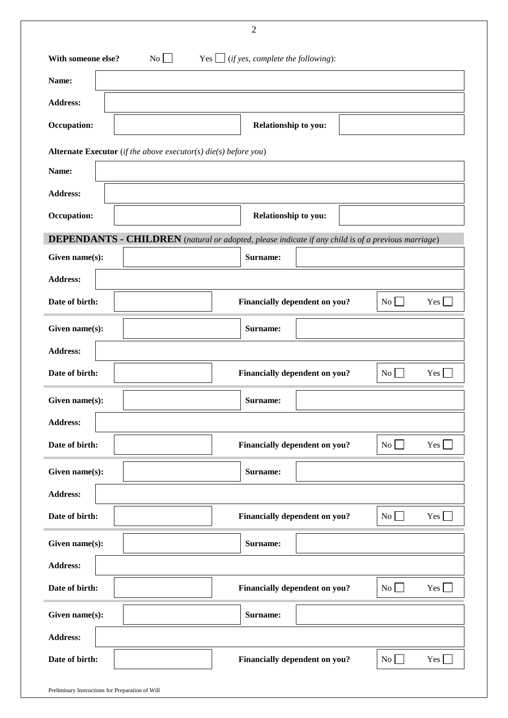|                                                                          | $\mathbf{2}$                                                                                              |  |  |  |  |
|--------------------------------------------------------------------------|-----------------------------------------------------------------------------------------------------------|--|--|--|--|
| No<br>Yes $\Box$ (if yes, complete the following):<br>With someone else? |                                                                                                           |  |  |  |  |
| Name:                                                                    |                                                                                                           |  |  |  |  |
| <b>Address:</b>                                                          |                                                                                                           |  |  |  |  |
| Occupation:                                                              | Relationship to you:                                                                                      |  |  |  |  |
| <b>Alternate Executor</b> (if the above executor(s) die(s) before you)   |                                                                                                           |  |  |  |  |
| Name:                                                                    |                                                                                                           |  |  |  |  |
| <b>Address:</b>                                                          |                                                                                                           |  |  |  |  |
| Occupation:                                                              | Relationship to you:                                                                                      |  |  |  |  |
|                                                                          | <b>DEPENDANTS - CHILDREN</b> (natural or adopted, please indicate if any child is of a previous marriage) |  |  |  |  |
| Given name(s):                                                           | Surname:                                                                                                  |  |  |  |  |
| <b>Address:</b>                                                          |                                                                                                           |  |  |  |  |
| Date of birth:                                                           | <b>Financially dependent on you?</b><br>No <sub>l</sub><br>$Yes$ $\Box$                                   |  |  |  |  |
| Given name(s):                                                           | Surname:                                                                                                  |  |  |  |  |
| <b>Address:</b>                                                          |                                                                                                           |  |  |  |  |
| Date of birth:                                                           | Financially dependent on you?<br>$\overline{N_{0}}$<br>$Yes \bigsqcup$                                    |  |  |  |  |
| Given name(s):                                                           | Surname:                                                                                                  |  |  |  |  |
| <b>Address:</b>                                                          |                                                                                                           |  |  |  |  |
| Date of birth:                                                           | $Yes$ $\Box$<br>No<br>Financially dependent on you?                                                       |  |  |  |  |
| Given name(s):                                                           | Surname:                                                                                                  |  |  |  |  |
| <b>Address:</b>                                                          |                                                                                                           |  |  |  |  |
| Date of birth:                                                           | $Yes$ $\Box$<br>$\overline{N_0}$  <br><b>Financially dependent on you?</b>                                |  |  |  |  |
| Given name(s):                                                           | Surname:                                                                                                  |  |  |  |  |
| <b>Address:</b>                                                          |                                                                                                           |  |  |  |  |
| Date of birth:                                                           | Yes $\Box$<br>$\overline{N_0}$<br><b>Financially dependent on you?</b>                                    |  |  |  |  |
| Given name(s):                                                           | Surname:                                                                                                  |  |  |  |  |
| <b>Address:</b>                                                          |                                                                                                           |  |  |  |  |
| Date of birth:                                                           | $Yes \Box$<br>Financially dependent on you?<br>No                                                         |  |  |  |  |
|                                                                          |                                                                                                           |  |  |  |  |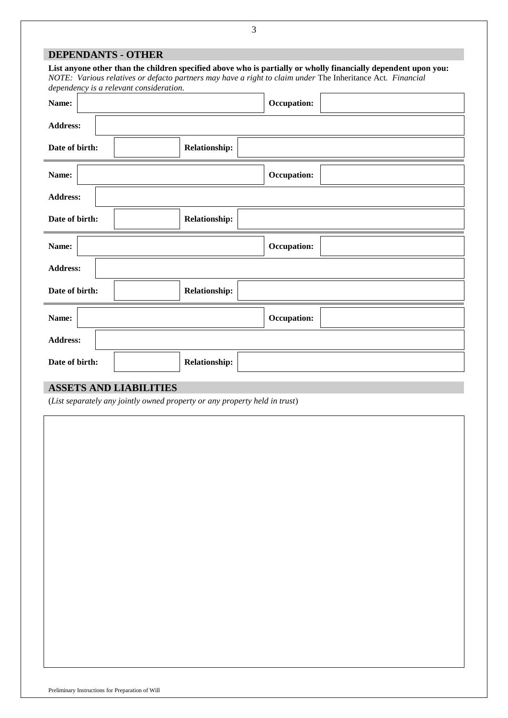| <b>DEPENDANTS - OTHER</b>                                                                                                                                                                                                                                               |                      |                    |  |  |
|-------------------------------------------------------------------------------------------------------------------------------------------------------------------------------------------------------------------------------------------------------------------------|----------------------|--------------------|--|--|
| List anyone other than the children specified above who is partially or wholly financially dependent upon you:<br>NOTE: Various relatives or defacto partners may have a right to claim under The Inheritance Act. Financial<br>dependency is a relevant consideration. |                      |                    |  |  |
| Name:                                                                                                                                                                                                                                                                   |                      | Occupation:        |  |  |
| <b>Address:</b>                                                                                                                                                                                                                                                         |                      |                    |  |  |
| Date of birth:                                                                                                                                                                                                                                                          | <b>Relationship:</b> |                    |  |  |
| Name:                                                                                                                                                                                                                                                                   |                      | Occupation:        |  |  |
| <b>Address:</b>                                                                                                                                                                                                                                                         |                      |                    |  |  |
| Date of birth:                                                                                                                                                                                                                                                          | <b>Relationship:</b> |                    |  |  |
| Name:                                                                                                                                                                                                                                                                   |                      | <b>Occupation:</b> |  |  |
| <b>Address:</b>                                                                                                                                                                                                                                                         |                      |                    |  |  |
| Date of birth:                                                                                                                                                                                                                                                          | <b>Relationship:</b> |                    |  |  |
| Name:                                                                                                                                                                                                                                                                   |                      | Occupation:        |  |  |
| <b>Address:</b>                                                                                                                                                                                                                                                         |                      |                    |  |  |
| Date of birth:                                                                                                                                                                                                                                                          | <b>Relationship:</b> |                    |  |  |

# **ASSETS AND LIABILITIES**

(*List separately any jointly owned property or any property held in trust*)

Preliminary Instructions for Preparation of Will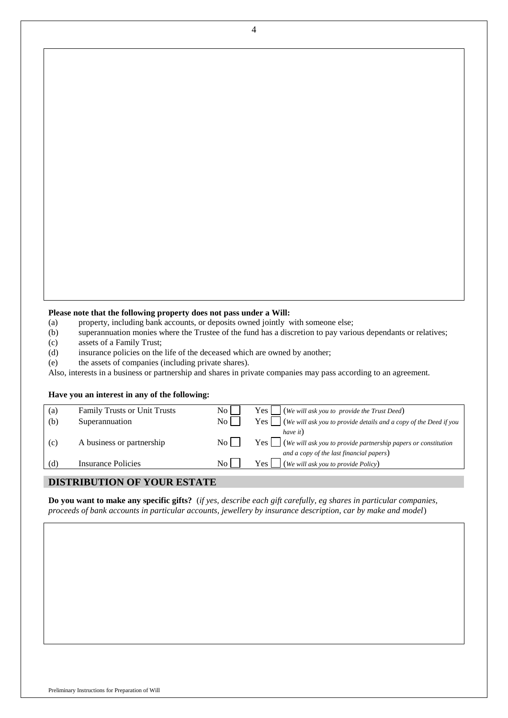### **Please note that the following property does not pass under a Will:**

- (a) property, including bank accounts, or deposits owned jointly with someone else;
- (b) superannuation monies where the Trustee of the fund has a discretion to pay various dependants or relatives;
- (c) assets of a Family Trust;
- (d) insurance policies on the life of the deceased which are owned by another;
- (e) the assets of companies (including private shares).

Also, interests in a business or partnership and shares in private companies may pass according to an agreement.

### **Have you an interest in any of the following:**

| (a) | <b>Family Trusts or Unit Trusts</b> | No l               | $\left\{ Y \in S \mid \right\}$ (We will ask you to provide the Trust Deed)                                                 |
|-----|-------------------------------------|--------------------|-----------------------------------------------------------------------------------------------------------------------------|
| (b) | Superannuation                      | $\overline{N_{0}}$ | $\begin{array}{c c} \n \text{Yes} & \text{(We will ask you to provide details and a copy of the Deed if you}\n \end{array}$ |
|     |                                     |                    | have it)                                                                                                                    |
| (c) | A business or partnership           | $\overline{N_{O}}$ |                                                                                                                             |
|     |                                     |                    | and a copy of the last financial papers)                                                                                    |
| (d) | Insurance Policies                  | $\overline{N_{0}}$ | (We will ask you to provide Policy)<br>Yes l                                                                                |
|     |                                     |                    |                                                                                                                             |

# **DISTRIBUTION OF YOUR ESTATE**

**Do you want to make any specific gifts?** (*if yes, describe each gift carefully, eg shares in particular companies, proceeds of bank accounts in particular accounts, jewellery by insurance description, car by make and model*)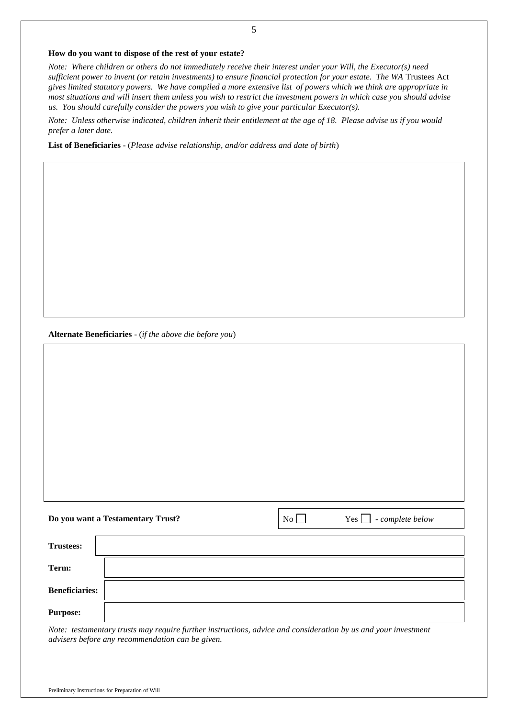#### **How do you want to dispose of the rest of your estate?**

*Note: Where children or others do not immediately receive their interest under your Will, the Executor(s) need sufficient power to invent (or retain investments) to ensure financial protection for your estate. The WA* Trustees Act *gives limited statutory powers. We have compiled a more extensive list of powers which we think are appropriate in most situations and will insert them unless you wish to restrict the investment powers in which case you should advise us. You should carefully consider the powers you wish to give your particular Executor(s).*

*Note: Unless otherwise indicated, children inherit their entitlement at the age of 18. Please advise us if you would prefer a later date.*

**List of Beneficiaries** - (*Please advise relationship, and/or address and date of birth*)

**Alternate Beneficiaries** - (*if the above die before you*)

|                       | Do you want a Testamentary Trust? | $\overline{N_0}$ | $Yes \fbox{1}$ - complete below |
|-----------------------|-----------------------------------|------------------|---------------------------------|
| <b>Trustees:</b>      |                                   |                  |                                 |
| Term:                 |                                   |                  |                                 |
| <b>Beneficiaries:</b> |                                   |                  |                                 |
| <b>Purpose:</b>       |                                   |                  |                                 |

*Note: testamentary trusts may require further instructions, advice and consideration by us and your investment advisers before any recommendation can be given.*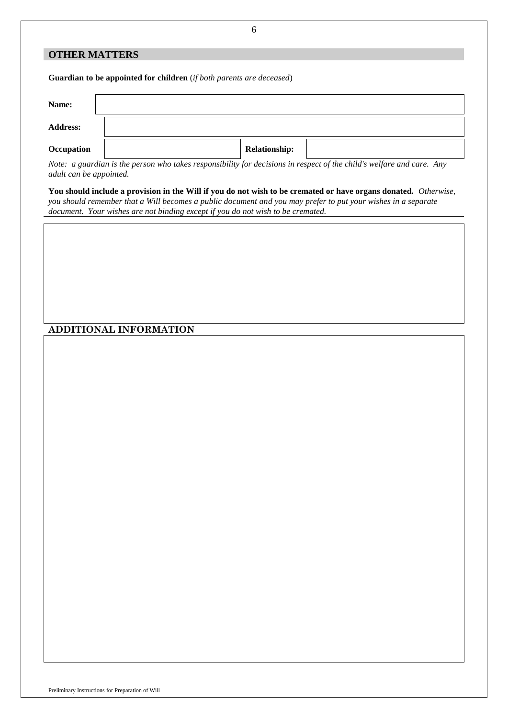## **OTHER MATTERS**

**Guardian to be appointed for children** (*if both parents are deceased*)

| Name:           |                      |  |
|-----------------|----------------------|--|
| <b>Address:</b> |                      |  |
| Occupation      | <b>Relationship:</b> |  |

*Note: a guardian is the person who takes responsibility for decisions in respect of the child's welfare and care. Any adult can be appointed.*

**You should include a provision in the Will if you do not wish to be cremated or have organs donated.** *Otherwise, you should remember that a Will becomes a public document and you may prefer to put your wishes in a separate document. Your wishes are not binding except if you do not wish to be cremated.*

**ADDITIONAL INFORMATION**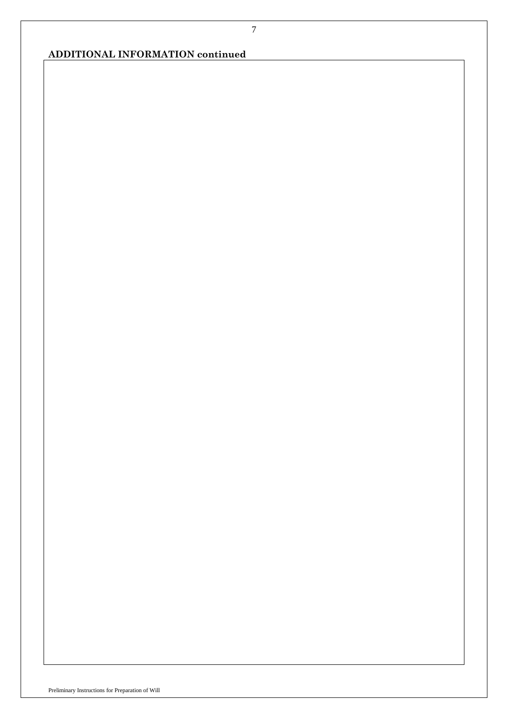# **ADDITIONAL INFORMATION continued**